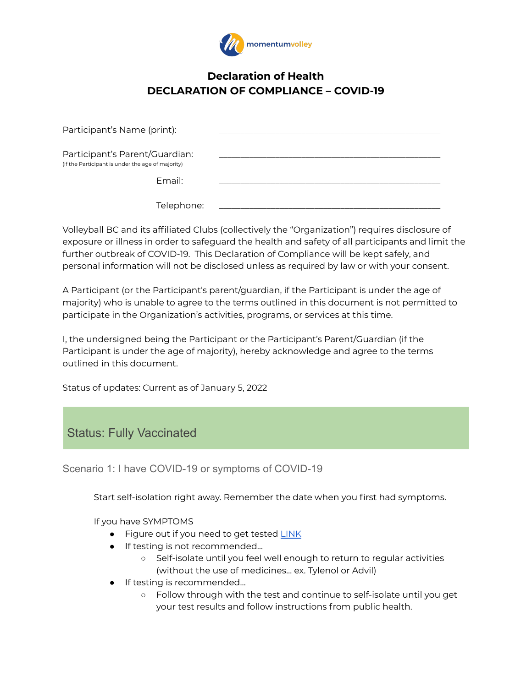

## **Declaration of Health DECLARATION OF COMPLIANCE – COVID-19**

| Participant's Name (print):                                                         |  |
|-------------------------------------------------------------------------------------|--|
| Participant's Parent/Guardian:<br>(if the Participant is under the age of majority) |  |
| Email:                                                                              |  |
| Telephone:                                                                          |  |

Volleyball BC and its affiliated Clubs (collectively the "Organization") requires disclosure of exposure or illness in order to safeguard the health and safety of all participants and limit the further outbreak of COVID-19. This Declaration of Compliance will be kept safely, and personal information will not be disclosed unless as required by law or with your consent.

A Participant (or the Participant's parent/guardian, if the Participant is under the age of majority) who is unable to agree to the terms outlined in this document is not permitted to participate in the Organization's activities, programs, or services at this time.

I, the undersigned being the Participant or the Participant's Parent/Guardian (if the Participant is under the age of majority), hereby acknowledge and agree to the terms outlined in this document.

Status of updates: Current as of January 5, 2022

# Status: Fully Vaccinated

Scenario 1: I have COVID-19 or symptoms of COVID-19

Start self-isolation right away. Remember the date when you first had symptoms.

If you have SYMPTOMS

- Figure out if you need to get tested [LINK](http://www.bccdc.ca/health-info/diseases-conditions/covid-19/testing)
- **•** If testing is not recommended...
	- Self-isolate until you feel well enough to return to regular activities (without the use of medicines… ex. Tylenol or Advil)
- If testing is recommended…
	- Follow through with the test and continue to self-isolate until you get your test results and follow instructions from public health.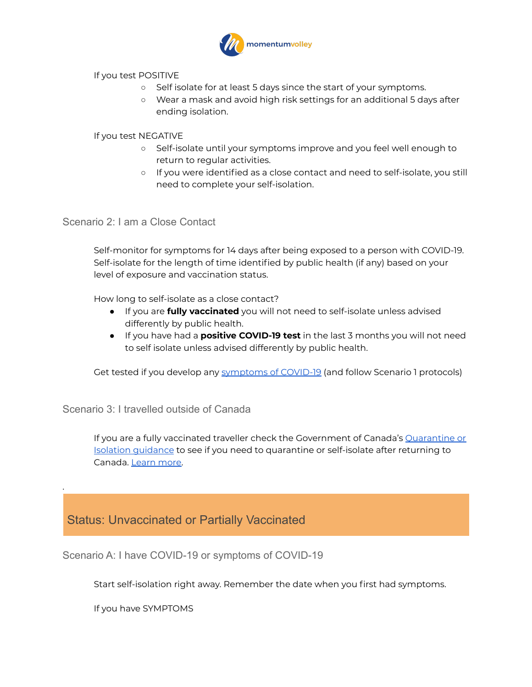

If you test POSITIVE

- Self isolate for at least 5 days since the start of your symptoms.
- Wear a mask and avoid high risk settings for an additional 5 days after ending isolation.

If you test NEGATIVE

- Self-isolate until your symptoms improve and you feel well enough to return to regular activities.
- If you were identified as a close contact and need to self-isolate, you still need to complete your self-isolation.

Scenario 2: I am a Close Contact

Self-monitor for symptoms for 14 days after being exposed to a person with COVID-19. Self-isolate for the length of time identified by public health (if any) based on your level of exposure and vaccination status.

How long to self-isolate as a close contact?

- If you are **fully vaccinated** you will not need to self-isolate unless advised differently by public health.
- If you have had a **positive COVID-19 test** in the last 3 months you will not need to self isolate unless advised differently by public health.

Get tested if you develop any [symptoms of COVID-19](http://www.bccdc.ca/health-info/diseases-conditions/covid-19/self-isolation) (and follow Scenario 1 protocols)

Scenario 3: I travelled outside of Canada

If you are a fully vaccinated traveller check the Government of Canada's [Quarantine or](https://travel.gc.ca/travel-covid/travel-restrictions/isolation) [Isolation guidance](https://travel.gc.ca/travel-covid/travel-restrictions/isolation) to see if you need to quarantine or self-isolate after returning to Canada. [Learn more.](https://travel.gc.ca/travel-covid/travel-restrictions/covid-vaccinated-travellers-entering-canada)

# Status: Unvaccinated or Partially Vaccinated

Scenario A: I have COVID-19 or symptoms of COVID-19

Start self-isolation right away. Remember the date when you first had symptoms.

If you have SYMPTOMS

.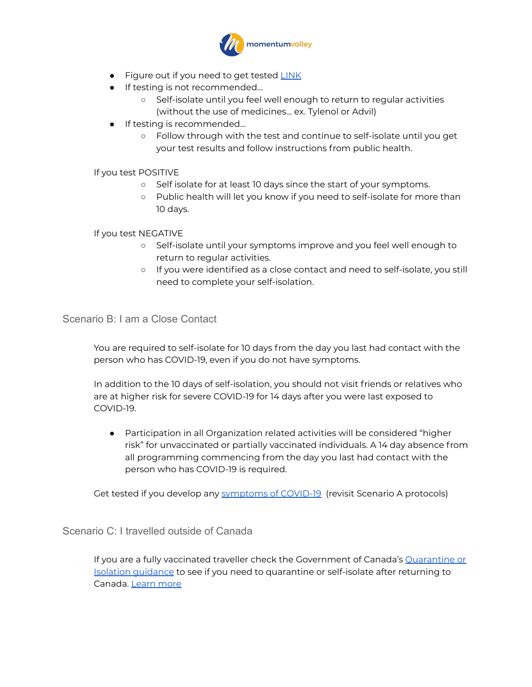

- **Figure out if you need to get tested [LINK](http://www.bccdc.ca/health-info/diseases-conditions/covid-19/testing)**
- **•** If testing is not recommended...
	- Self-isolate until you feel well enough to return to regular activities (without the use of medicines… ex. Tylenol or Advil)
- **•** If testing is recommended...
	- Follow through with the test and continue to self-isolate until you get your test results and follow instructions from public health.

#### If you test POSITIVE

- Self isolate for at least 10 days since the start of your symptoms.
- Public health will let you know if you need to self-isolate for more than 10 days.

#### If you test NEGATIVE

- Self-isolate until your symptoms improve and you feel well enough to return to regular activities.
- If you were identified as a close contact and need to self-isolate, you still need to complete your self-isolation.

## Scenario B: I am a Close Contact

You are required to self-isolate for 10 days from the day you last had contact with the person who has COVID-19, even if you do not have symptoms.

In addition to the 10 days of self-isolation, you should not visit friends or relatives who are at higher risk for severe COVID-19 for 14 days after you were last exposed to COVID-19.

● Participation in all Organization related activities will be considered "higher risk" for unvaccinated or partially vaccinated individuals. A 14 day absence from all programming commencing from the day you last had contact with the person who has COVID-19 is required.

Get tested if you develop any [symptoms of COVID-19](http://www.bccdc.ca/health-info/diseases-conditions/covid-19/self-isolation) (revisit Scenario A protocols)

## Scenario C: I travelled outside of Canada

If you are a fully vaccinated traveller check the Government of Canada's [Quarantine or](https://travel.gc.ca/travel-covid/travel-restrictions/isolation) [Isolation guidance](https://travel.gc.ca/travel-covid/travel-restrictions/isolation) to see if you need to quarantine or self-isolate after returning to Canada. [Learn more](https://travel.gc.ca/travel-covid/travel-restrictions/covid-vaccinated-travellers-entering-canada)